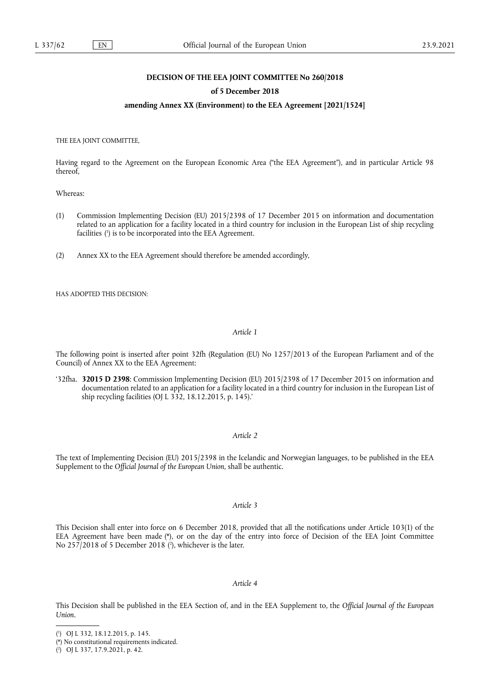# **DECISION OF THE EEA JOINT COMMITTEE No 260/2018**

#### **of 5 December 2018**

# **amending Annex XX (Environment) to the EEA Agreement [2021/1524]**

THE EEA JOINT COMMITTEE,

Having regard to the Agreement on the European Economic Area ("the EEA Agreement"), and in particular Article 98 thereof,

Whereas:

- <span id="page-0-3"></span>(1) Commission Implementing Decision (EU) 2015/2398 of 17 December 2015 on information and documentation related to an application for a facility located in a third country for inclusion in the European List of ship recycling facilities [\(](#page-0-0) 1 ) is to be incorporated into the EEA Agreement.
- (2) Annex XX to the EEA Agreement should therefore be amended accordingly,

HAS ADOPTED THIS DECISION:

# *Article 1*

The following point is inserted after point 32fh (Regulation (EU) No 1257/2013 of the European Parliament and of the Council) of Annex XX to the EEA Agreement:

'32fha. **32015 D 2398**: Commission Implementing Decision (EU) 2015/2398 of 17 December 2015 on information and documentation related to an application for a facility located in a third country for inclusion in the European List of ship recycling facilities (OJ L 332, 18.12.2015, p. 145).'

#### *Article 2*

The text of Implementing Decision (EU) 2015/2398 in the Icelandic and Norwegian languages, to be published in the EEA Supplement to the *Official Journal of the European Union*, shall be authentic.

### *Article 3*

<span id="page-0-5"></span><span id="page-0-4"></span>This Decision shall enter into force on 6 December 2018, provided that all the notifications under Article 103(1) of the EEA Agreement have been made [\(\\*\),](#page-0-1) or on the day of the entry into force of Decision of the EEA Joint Committee No 257/2018 of 5 December 2018 [\(](#page-0-2) 2 ), whichever is the later.

#### *Article 4*

This Decision shall be published in the EEA Section of, and in the EEA Supplement to, the *Official Journal of the European Union*.

<span id="page-0-0"></span>[<sup>\(</sup>](#page-0-3) 1 ) OJ L 332, 18.12.2015, p. 145.

<span id="page-0-1"></span>[<sup>\(\\*\)</sup> N](#page-0-4)o constitutional requirements indicated.

<span id="page-0-2"></span><sup>(</sup> 2 [\)](#page-0-5) OJ L 337, 17.9.2021, p. 42.